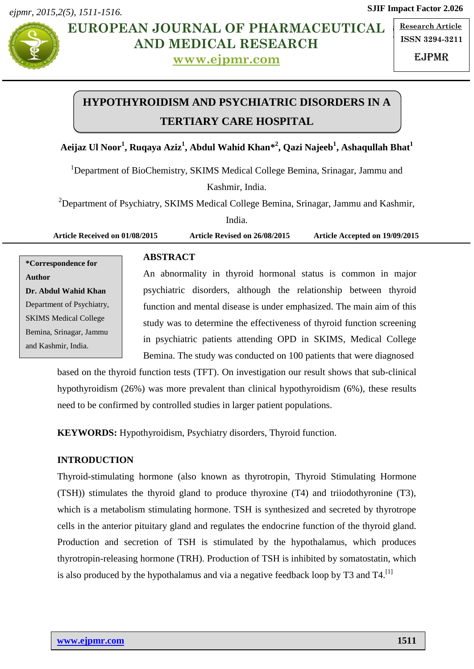*ejpmr, 2015,2(5), 1511-1516.*



**No. EUROPEAN JOURNAL OF PHARMACEUTICAL**  $\frac{Res}{E}$ **AND MEDICAL RESEARCH**

**[www.ejpmr.com](http://www.ejpmr.com/)**

**Research Article ISSN 3294-3211**

**SJIF Impact Factor 2.026**

EJPMR

# **HYPOTHYROIDISM AND PSYCHIATRIC DISORDERS IN A TERTIARY CARE HOSPITAL**

# **Aeijaz Ul Noor<sup>1</sup> , Ruqaya Aziz<sup>1</sup> , Abdul Wahid Khan\* 2 , Qazi Najeeb<sup>1</sup> , Ashaqullah Bhat<sup>1</sup>**

<sup>1</sup>Department of BioChemistry, SKIMS Medical College Bemina, Srinagar, Jammu and

Kashmir, India.

<sup>2</sup>Department of Psychiatry, SKIMS Medical College Bemina, Srinagar, Jammu and Kashmir,

India.

**Article Received on 01/08/2015 Article Revised on 26/08/2015 Article Accepted on 19/09/2015**

**\*Correspondence for Author Dr. Abdul Wahid Khan** Department of Psychiatry, SKIMS Medical College Bemina, Srinagar, Jammu and Kashmir, India.

# **ABSTRACT**

An abnormality in thyroid hormonal status is common in major psychiatric disorders, although the relationship between thyroid function and mental disease is under emphasized. The main aim of this study was to determine the effectiveness of thyroid function screening in psychiatric patients attending OPD in SKIMS, Medical College Bemina. The study was conducted on 100 patients that were diagnosed

based on the thyroid function tests (TFT). On investigation our result shows that sub-clinical hypothyroidism (26%) was more prevalent than clinical hypothyroidism (6%), these results need to be confirmed by controlled studies in larger patient populations.

**KEYWORDS:** Hypothyroidism, Psychiatry disorders, Thyroid function.

## **INTRODUCTION**

Thyroid-stimulating hormone (also known as thyrotropin, Thyroid Stimulating Hormone (TSH)) stimulates the thyroid gland to produce thyroxine (T4) and triiodothyronine (T3), which is a metabolism stimulating hormone. TSH is synthesized and secreted by thyrotrope cells in the anterior pituitary gland and regulates the endocrine function of the thyroid gland. Production and secretion of TSH is stimulated by the hypothalamus, which produces thyrotropin-releasing hormone (TRH). Production of TSH is inhibited by somatostatin, which is also produced by the hypothalamus and via a negative feedback loop by T3 and T4.<sup>[1]</sup>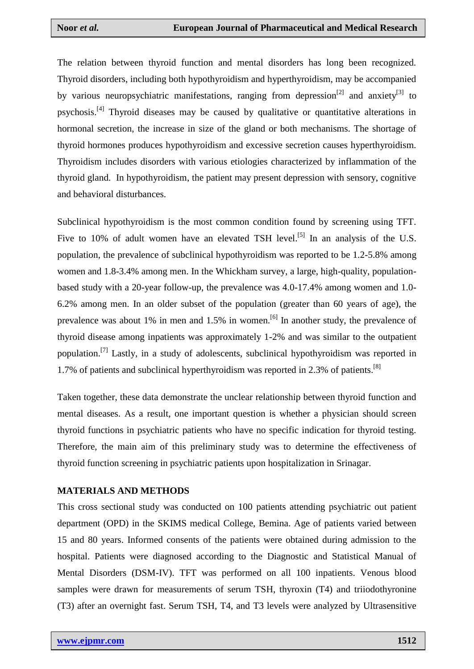The relation between thyroid function and mental disorders has long been recognized. Thyroid disorders, including both hypothyroidism and hyperthyroidism, may be accompanied by various neuropsychiatric manifestations, ranging from depression<sup>[2]</sup> and anxiety<sup>[3]</sup> to psychosis.<sup>[4]</sup> Thyroid diseases may be caused by qualitative or quantitative alterations in hormonal secretion, the increase in size of the gland or both mechanisms. The shortage of thyroid hormones produces hypothyroidism and excessive secretion causes hyperthyroidism. Thyroidism includes disorders with various etiologies characterized by inflammation of the thyroid gland. In hypothyroidism, the patient may present depression with sensory, cognitive and behavioral disturbances.

Subclinical hypothyroidism is the most common condition found by screening using TFT. Five to 10% of adult women have an elevated TSH level.<sup>[5]</sup> In an analysis of the U.S. population, the prevalence of subclinical hypothyroidism was reported to be 1.2-5.8% among women and 1.8-3.4% among men. In the Whickham survey, a large, high-quality, populationbased study with a 20-year follow-up, the prevalence was 4.0-17.4% among women and 1.0- 6.2% among men. In an older subset of the population (greater than 60 years of age), the prevalence was about 1% in men and 1.5% in women.<sup>[6]</sup> In another study, the prevalence of thyroid disease among inpatients was approximately 1-2% and was similar to the outpatient population.<sup>[7]</sup> Lastly, in a study of adolescents, subclinical hypothyroidism was reported in 1.7% of patients and subclinical hyperthyroidism was reported in 2.3% of patients. [8]

Taken together, these data demonstrate the unclear relationship between thyroid function and mental diseases. As a result, one important question is whether a physician should screen thyroid functions in psychiatric patients who have no specific indication for thyroid testing. Therefore, the main aim of this preliminary study was to determine the effectiveness of thyroid function screening in psychiatric patients upon hospitalization in Srinagar.

#### **MATERIALS AND METHODS**

This cross sectional study was conducted on 100 patients attending psychiatric out patient department (OPD) in the SKIMS medical College, Bemina. Age of patients varied between 15 and 80 years. Informed consents of the patients were obtained during admission to the hospital. Patients were diagnosed according to the Diagnostic and Statistical Manual of Mental Disorders (DSM-IV). TFT was performed on all 100 inpatients. Venous blood samples were drawn for measurements of serum TSH, thyroxin (T4) and triiodothyronine (T3) after an overnight fast. Serum TSH, T4, and T3 levels were analyzed by Ultrasensitive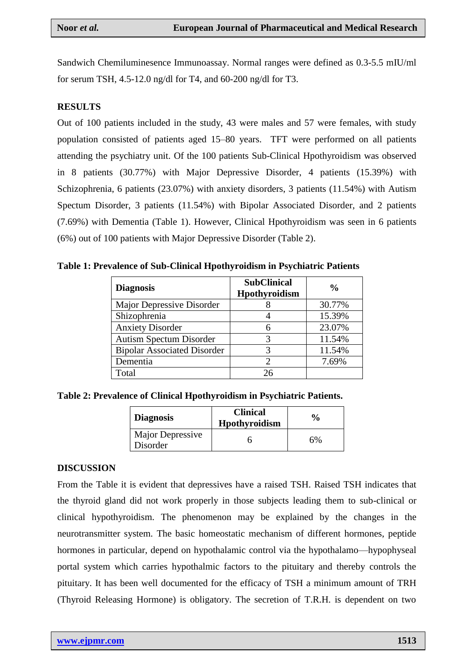Sandwich Chemiluminesence Immunoassay. Normal ranges were defined as 0.3-5.5 mIU/ml for serum TSH, 4.5-12.0 ng/dl for T4, and 60-200 ng/dl for T3.

## **RESULTS**

Out of 100 patients included in the study, 43 were males and 57 were females, with study population consisted of patients aged 15–80 years. TFT were performed on all patients attending the psychiatry unit. Of the 100 patients Sub-Clinical Hpothyroidism was observed in 8 patients (30.77%) with Major Depressive Disorder, 4 patients (15.39%) with Schizophrenia, 6 patients (23.07%) with anxiety disorders, 3 patients (11.54%) with Autism Spectum Disorder, 3 patients (11.54%) with Bipolar Associated Disorder, and 2 patients (7.69%) with Dementia (Table 1). However, Clinical Hpothyroidism was seen in 6 patients (6%) out of 100 patients with Major Depressive Disorder (Table 2).

**Table 1: Prevalence of Sub-Clinical Hpothyroidism in Psychiatric Patients**

| <b>Diagnosis</b>                   | <b>SubClinical</b><br>Hpothyroidism | $\frac{6}{9}$ |
|------------------------------------|-------------------------------------|---------------|
| Major Depressive Disorder          |                                     | 30.77%        |
| Shizophrenia                       |                                     | 15.39%        |
| <b>Anxiety Disorder</b>            |                                     | 23.07%        |
| <b>Autism Spectum Disorder</b>     | 3                                   | 11.54%        |
| <b>Bipolar Associated Disorder</b> |                                     | 11.54%        |
| Dementia                           |                                     | 7.69%         |
| Total                              | 26                                  |               |

**Table 2: Prevalence of Clinical Hpothyroidism in Psychiatric Patients.**

| <b>Diagnosis</b>             | <b>Clinical</b><br><b>Hpothyroidism</b> | $\frac{6}{9}$ |
|------------------------------|-----------------------------------------|---------------|
| Major Depressive<br>Disorder |                                         | 6%            |

#### **DISCUSSION**

From the Table it is evident that depressives have a raised TSH. Raised TSH indicates that the thyroid gland did not work properly in those subjects leading them to sub-clinical or clinical hypothyroidism. The phenomenon may be explained by the changes in the neurotransmitter system. The basic homeostatic mechanism of different hormones, peptide hormones in particular, depend on hypothalamic control via the hypothalamo—hypophyseal portal system which carries hypothalmic factors to the pituitary and thereby controls the pituitary. It has been well documented for the efficacy of TSH a minimum amount of TRH (Thyroid Releasing Hormone) is obligatory. The secretion of T.R.H. is dependent on two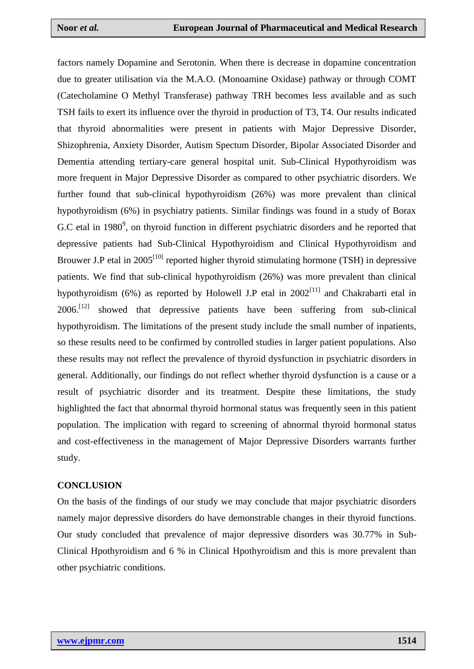factors namely Dopamine and Serotonin. When there is decrease in dopamine concentration due to greater utilisation via the M.A.O. (Monoamine Oxidase) pathway or through COMT (Catecholamine O Methyl Transferase) pathway TRH becomes less available and as such TSH fails to exert its influence over the thyroid in production of T3, T4. Our results indicated that thyroid abnormalities were present in patients with Major Depressive Disorder, Shizophrenia, Anxiety Disorder, Autism Spectum Disorder, Bipolar Associated Disorder and Dementia attending tertiary-care general hospital unit. Sub-Clinical Hypothyroidism was more frequent in Major Depressive Disorder as compared to other psychiatric disorders. We further found that sub-clinical hypothyroidism (26%) was more prevalent than clinical hypothyroidism (6%) in psychiatry patients. Similar findings was found in a study of Borax G.C etal in  $1980<sup>9</sup>$ , on thyroid function in different psychiatric disorders and he reported that depressive patients had Sub-Clinical Hypothyroidism and Clinical Hypothyroidism and Brouwer J.P etal in  $2005^{[10]}$  reported higher thyroid stimulating hormone (TSH) in depressive patients. We find that sub-clinical hypothyroidism (26%) was more prevalent than clinical hypothyroidism (6%) as reported by Holowell J.P etal in  $2002^{[11]}$  and Chakrabarti etal in 2006.<sup>[12]</sup> showed that depressive patients have been suffering from sub-clinical hypothyroidism. The limitations of the present study include the small number of inpatients, so these results need to be confirmed by controlled studies in larger patient populations. Also these results may not reflect the prevalence of thyroid dysfunction in psychiatric disorders in general. Additionally, our findings do not reflect whether thyroid dysfunction is a cause or a result of psychiatric disorder and its treatment. Despite these limitations, the study highlighted the fact that abnormal thyroid hormonal status was frequently seen in this patient population. The implication with regard to screening of abnormal thyroid hormonal status and cost-effectiveness in the management of Major Depressive Disorders warrants further study.

#### **CONCLUSION**

On the basis of the findings of our study we may conclude that major psychiatric disorders namely major depressive disorders do have demonstrable changes in their thyroid functions. Our study concluded that prevalence of major depressive disorders was 30.77% in Sub-Clinical Hpothyroidism and 6 % in Clinical Hpothyroidism and this is more prevalent than other psychiatric conditions.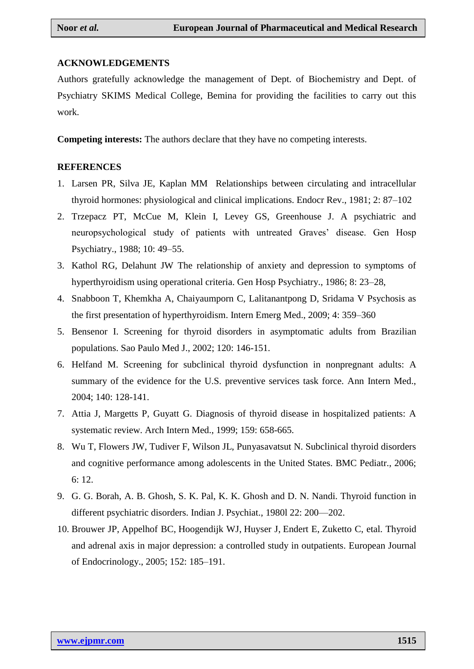## **ACKNOWLEDGEMENTS**

Authors gratefully acknowledge the management of Dept. of Biochemistry and Dept. of Psychiatry SKIMS Medical College, Bemina for providing the facilities to carry out this work.

**Competing interests:** The authors declare that they have no competing interests.

## **REFERENCES**

- 1. Larsen PR, Silva JE, Kaplan MM Relationships between circulating and intracellular thyroid hormones: physiological and clinical implications. Endocr Rev., 1981; 2: 87–102
- 2. Trzepacz PT, McCue M, Klein I, Levey GS, Greenhouse J. A psychiatric and neuropsychological study of patients with untreated Graves' disease. Gen Hosp Psychiatry., 1988; 10: 49–55.
- 3. Kathol RG, Delahunt JW The relationship of anxiety and depression to symptoms of hyperthyroidism using operational criteria. Gen Hosp Psychiatry., 1986; 8: 23–28,
- 4. Snabboon T, Khemkha A, Chaiyaumporn C, Lalitanantpong D, Sridama V Psychosis as the first presentation of hyperthyroidism. Intern Emerg Med., 2009; 4: 359–360
- 5. Bensenor I. Screening for thyroid disorders in asymptomatic adults from Brazilian populations. Sao Paulo Med J., 2002; 120: 146-151.
- 6. Helfand M. Screening for subclinical thyroid dysfunction in nonpregnant adults: A summary of the evidence for the U.S. preventive services task force. Ann Intern Med., 2004; 140: 128-141.
- 7. Attia J, Margetts P, Guyatt G. Diagnosis of thyroid disease in hospitalized patients: A systematic review. Arch Intern Med., 1999; 159: 658-665.
- 8. Wu T, Flowers JW, Tudiver F, Wilson JL, Punyasavatsut N. Subclinical thyroid disorders and cognitive performance among adolescents in the United States. BMC Pediatr., 2006; 6: 12.
- 9. G. G. Borah, A. B. Ghosh, S. K. Pal, K. K. Ghosh and D. N. Nandi. Thyroid function in different psychiatric disorders. Indian J. Psychiat., 1980l 22: 200—202.
- 10. [Brouwer JP,](http://www.ncbi.nlm.nih.gov/pubmed/?term=Brouwer%20JP%5BAuthor%5D&cauthor=true&cauthor_uid=15745924) [Appelhof BC,](http://www.ncbi.nlm.nih.gov/pubmed/?term=Appelhof%20BC%5BAuthor%5D&cauthor=true&cauthor_uid=15745924) [Hoogendijk WJ,](http://www.ncbi.nlm.nih.gov/pubmed/?term=Hoogendijk%20WJ%5BAuthor%5D&cauthor=true&cauthor_uid=15745924) [Huyser J,](http://www.ncbi.nlm.nih.gov/pubmed/?term=Huyser%20J%5BAuthor%5D&cauthor=true&cauthor_uid=15745924) [Endert E,](http://www.ncbi.nlm.nih.gov/pubmed/?term=Endert%20E%5BAuthor%5D&cauthor=true&cauthor_uid=15745924) [Zuketto C,](http://www.ncbi.nlm.nih.gov/pubmed/?term=Zuketto%20C%5BAuthor%5D&cauthor=true&cauthor_uid=15745924) etal. Thyroid and adrenal axis in major depression: a controlled study in outpatients. European Journal of Endocrinology., 2005; 152: 185–191.